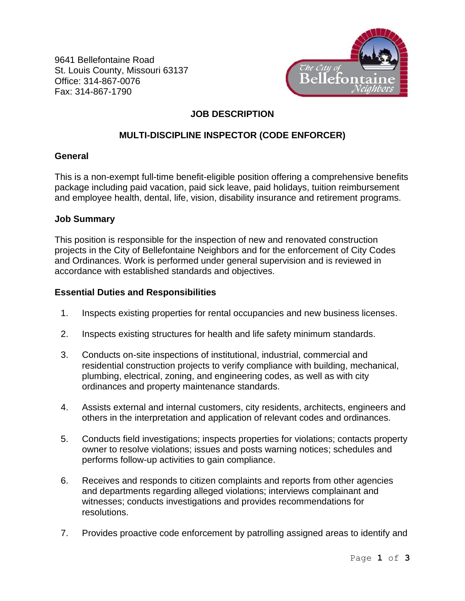9641 Bellefontaine Road St. Louis County, Missouri 63137 Office: 314-867-0076 Fax: 314-867-1790



# **JOB DESCRIPTION**

## **MULTI-DISCIPLINE INSPECTOR (CODE ENFORCER)**

## **General**

This is a non-exempt full-time benefit-eligible position offering a comprehensive benefits package including paid vacation, paid sick leave, paid holidays, tuition reimbursement and employee health, dental, life, vision, disability insurance and retirement programs.

## **Job Summary**

This position is responsible for the inspection of new and renovated construction projects in the City of Bellefontaine Neighbors and for the enforcement of City Codes and Ordinances. Work is performed under general supervision and is reviewed in accordance with established standards and objectives.

## **Essential Duties and Responsibilities**

- 1. Inspects existing properties for rental occupancies and new business licenses.
- 2. Inspects existing structures for health and life safety minimum standards.
- 3. Conducts on-site inspections of institutional, industrial, commercial and residential construction projects to verify compliance with building, mechanical, plumbing, electrical, zoning, and engineering codes, as well as with city ordinances and property maintenance standards.
- 4. Assists external and internal customers, city residents, architects, engineers and others in the interpretation and application of relevant codes and ordinances.
- 5. Conducts field investigations; inspects properties for violations; contacts property owner to resolve violations; issues and posts warning notices; schedules and performs follow-up activities to gain compliance.
- 6. Receives and responds to citizen complaints and reports from other agencies and departments regarding alleged violations; interviews complainant and witnesses; conducts investigations and provides recommendations for resolutions.
- 7. Provides proactive code enforcement by patrolling assigned areas to identify and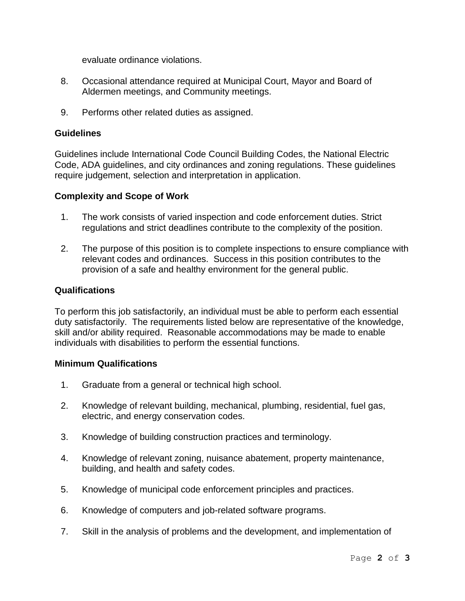evaluate ordinance violations.

- 8. Occasional attendance required at Municipal Court, Mayor and Board of Aldermen meetings, and Community meetings.
- 9. Performs other related duties as assigned.

#### **Guidelines**

Guidelines include International Code Council Building Codes, the National Electric Code, ADA guidelines, and city ordinances and zoning regulations. These guidelines require judgement, selection and interpretation in application.

#### **Complexity and Scope of Work**

- 1. The work consists of varied inspection and code enforcement duties. Strict regulations and strict deadlines contribute to the complexity of the position.
- 2. The purpose of this position is to complete inspections to ensure compliance with relevant codes and ordinances. Success in this position contributes to the provision of a safe and healthy environment for the general public.

#### **Qualifications**

To perform this job satisfactorily, an individual must be able to perform each essential duty satisfactorily. The requirements listed below are representative of the knowledge, skill and/or ability required. Reasonable accommodations may be made to enable individuals with disabilities to perform the essential functions.

#### **Minimum Qualifications**

- 1. Graduate from a general or technical high school.
- 2. Knowledge of relevant building, mechanical, plumbing, residential, fuel gas, electric, and energy conservation codes.
- 3. Knowledge of building construction practices and terminology.
- 4. Knowledge of relevant zoning, nuisance abatement, property maintenance, building, and health and safety codes.
- 5. Knowledge of municipal code enforcement principles and practices.
- 6. Knowledge of computers and job-related software programs.
- 7. Skill in the analysis of problems and the development, and implementation of